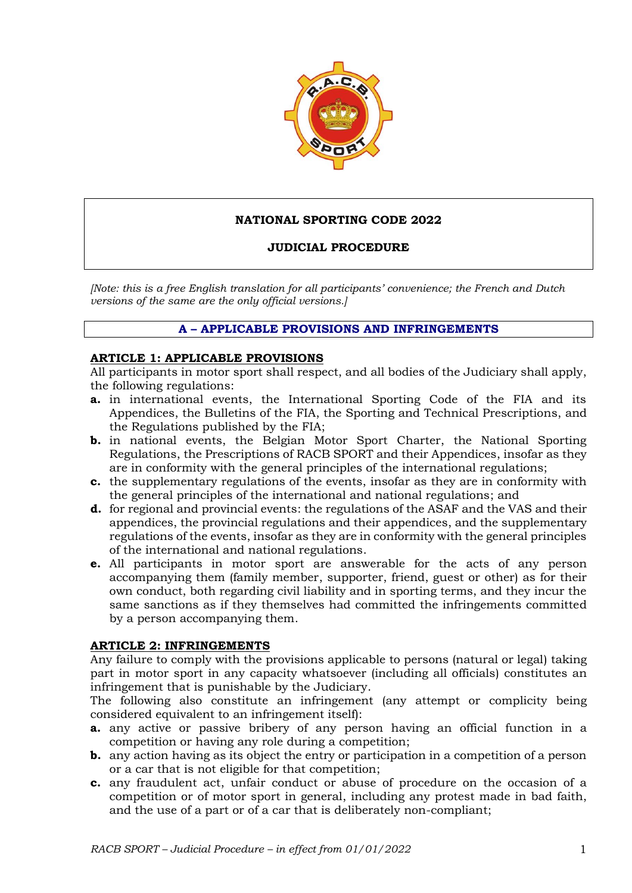

## **NATIONAL SPORTING CODE 2022**

### **JUDICIAL PROCEDURE**

*[Note: this is a free English translation for all participants' convenience; the French and Dutch versions of the same are the only official versions.]*

### **A – APPLICABLE PROVISIONS AND INFRINGEMENTS**

#### **ARTICLE 1: APPLICABLE PROVISIONS**

All participants in motor sport shall respect, and all bodies of the Judiciary shall apply, the following regulations:

- **a.** in international events, the International Sporting Code of the FIA and its Appendices, the Bulletins of the FIA, the Sporting and Technical Prescriptions, and the Regulations published by the FIA;
- **b.** in national events, the Belgian Motor Sport Charter, the National Sporting Regulations, the Prescriptions of RACB SPORT and their Appendices, insofar as they are in conformity with the general principles of the international regulations;
- **c.** the supplementary regulations of the events, insofar as they are in conformity with the general principles of the international and national regulations; and
- **d.** for regional and provincial events: the regulations of the ASAF and the VAS and their appendices, the provincial regulations and their appendices, and the supplementary regulations of the events, insofar as they are in conformity with the general principles of the international and national regulations.
- **e.** All participants in motor sport are answerable for the acts of any person accompanying them (family member, supporter, friend, guest or other) as for their own conduct, both regarding civil liability and in sporting terms, and they incur the same sanctions as if they themselves had committed the infringements committed by a person accompanying them.

### **ARTICLE 2: INFRINGEMENTS**

Any failure to comply with the provisions applicable to persons (natural or legal) taking part in motor sport in any capacity whatsoever (including all officials) constitutes an infringement that is punishable by the Judiciary.

The following also constitute an infringement (any attempt or complicity being considered equivalent to an infringement itself):

- **a.** any active or passive bribery of any person having an official function in a competition or having any role during a competition;
- **b.** any action having as its object the entry or participation in a competition of a person or a car that is not eligible for that competition;
- **c.** any fraudulent act, unfair conduct or abuse of procedure on the occasion of a competition or of motor sport in general, including any protest made in bad faith, and the use of a part or of a car that is deliberately non-compliant;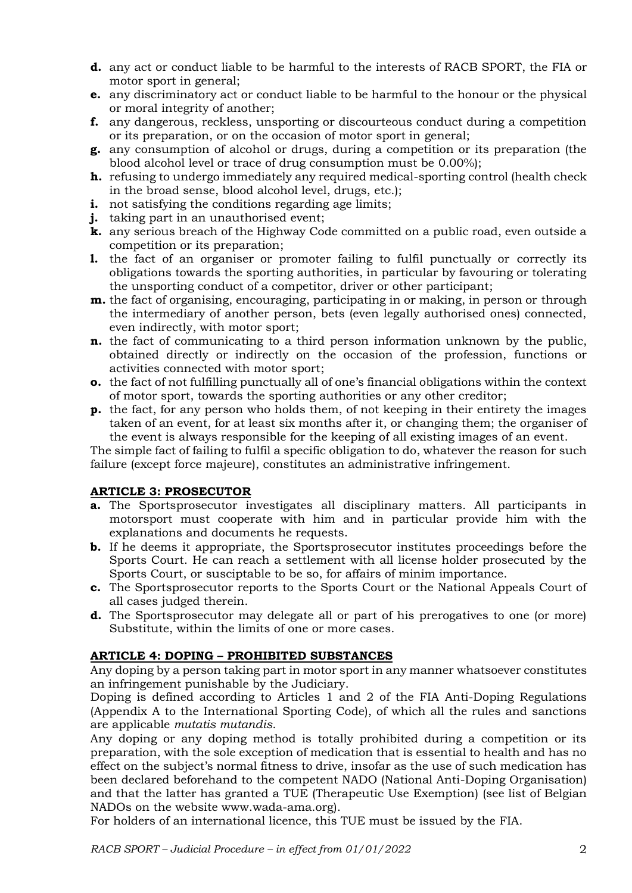- **d.** any act or conduct liable to be harmful to the interests of RACB SPORT, the FIA or motor sport in general;
- **e.** any discriminatory act or conduct liable to be harmful to the honour or the physical or moral integrity of another;
- **f.** any dangerous, reckless, unsporting or discourteous conduct during a competition or its preparation, or on the occasion of motor sport in general;
- **g.** any consumption of alcohol or drugs, during a competition or its preparation (the blood alcohol level or trace of drug consumption must be 0.00%);
- **h.** refusing to undergo immediately any required medical-sporting control (health check in the broad sense, blood alcohol level, drugs, etc.);
- **i.** not satisfying the conditions regarding age limits;
- **j.** taking part in an unauthorised event;
- **k.** any serious breach of the Highway Code committed on a public road, even outside a competition or its preparation;
- **1.** the fact of an organiser or promoter failing to fulfil punctually or correctly its obligations towards the sporting authorities, in particular by favouring or tolerating the unsporting conduct of a competitor, driver or other participant;
- **m.** the fact of organising, encouraging, participating in or making, in person or through the intermediary of another person, bets (even legally authorised ones) connected, even indirectly, with motor sport;
- **n.** the fact of communicating to a third person information unknown by the public, obtained directly or indirectly on the occasion of the profession, functions or activities connected with motor sport;
- **o.** the fact of not fulfilling punctually all of one's financial obligations within the context of motor sport, towards the sporting authorities or any other creditor;
- **p.** the fact, for any person who holds them, of not keeping in their entirety the images taken of an event, for at least six months after it, or changing them; the organiser of the event is always responsible for the keeping of all existing images of an event.

The simple fact of failing to fulfil a specific obligation to do, whatever the reason for such failure (except force majeure), constitutes an administrative infringement.

# **ARTICLE 3: PROSECUTOR**

- **a.** The Sportsprosecutor investigates all disciplinary matters. All participants in motorsport must cooperate with him and in particular provide him with the explanations and documents he requests.
- **b.** If he deems it appropriate, the Sportsprosecutor institutes proceedings before the Sports Court. He can reach a settlement with all license holder prosecuted by the Sports Court, or susciptable to be so, for affairs of minim importance.
- **c.** The Sportsprosecutor reports to the Sports Court or the National Appeals Court of all cases judged therein.
- **d.** The Sportsprosecutor may delegate all or part of his prerogatives to one (or more) Substitute, within the limits of one or more cases.

# **ARTICLE 4: DOPING – PROHIBITED SUBSTANCES**

Any doping by a person taking part in motor sport in any manner whatsoever constitutes an infringement punishable by the Judiciary.

Doping is defined according to Articles 1 and 2 of the FIA Anti-Doping Regulations (Appendix A to the International Sporting Code), of which all the rules and sanctions are applicable *mutatis mutandis*.

Any doping or any doping method is totally prohibited during a competition or its preparation, with the sole exception of medication that is essential to health and has no effect on the subject's normal fitness to drive, insofar as the use of such medication has been declared beforehand to the competent NADO (National Anti-Doping Organisation) and that the latter has granted a TUE (Therapeutic Use Exemption) (see list of Belgian NADOs on the website www.wada-ama.org).

For holders of an international licence, this TUE must be issued by the FIA.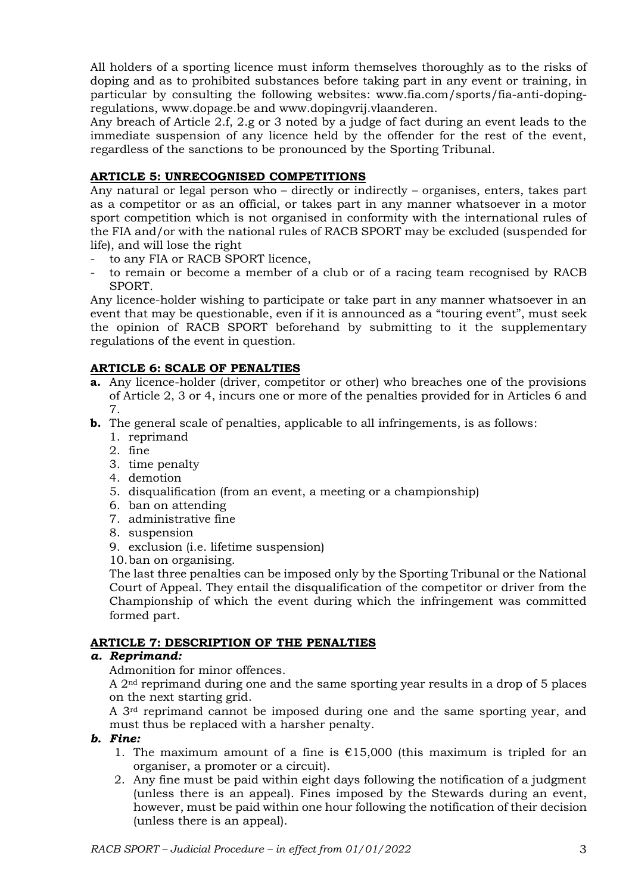All holders of a sporting licence must inform themselves thoroughly as to the risks of doping and as to prohibited substances before taking part in any event or training, in particular by consulting the following websites: [www.fia.com/sports/fia-anti-doping](http://www.fia.com/sports/fia-anti-doping-regulations)[regulations,](http://www.fia.com/sports/fia-anti-doping-regulations) [www.dopage.be](http://www.dopage.be/) and www.dopingvrij.vlaanderen.

Any breach of Article 2.f, 2.g or 3 noted by a judge of fact during an event leads to the immediate suspension of any licence held by the offender for the rest of the event, regardless of the sanctions to be pronounced by the Sporting Tribunal.

## **ARTICLE 5: UNRECOGNISED COMPETITIONS**

Any natural or legal person who – directly or indirectly – organises, enters, takes part as a competitor or as an official, or takes part in any manner whatsoever in a motor sport competition which is not organised in conformity with the international rules of the FIA and/or with the national rules of RACB SPORT may be excluded (suspended for life), and will lose the right

- to any FIA or RACB SPORT licence,
- to remain or become a member of a club or of a racing team recognised by RACB SPORT.

Any licence-holder wishing to participate or take part in any manner whatsoever in an event that may be questionable, even if it is announced as a "touring event", must seek the opinion of RACB SPORT beforehand by submitting to it the supplementary regulations of the event in question.

### **ARTICLE 6: SCALE OF PENALTIES**

- **a.** Any licence-holder (driver, competitor or other) who breaches one of the provisions of Article 2, 3 or 4, incurs one or more of the penalties provided for in Articles 6 and 7.
- **b.** The general scale of penalties, applicable to all infringements, is as follows:
	- 1. reprimand
	- 2. fine
	- 3. time penalty
	- 4. demotion
	- 5. disqualification (from an event, a meeting or a championship)
	- 6. ban on attending
	- 7. administrative fine
	- 8. suspension
	- 9. exclusion (i.e. lifetime suspension)
	- 10.ban on organising.

The last three penalties can be imposed only by the Sporting Tribunal or the National Court of Appeal. They entail the disqualification of the competitor or driver from the Championship of which the event during which the infringement was committed formed part.

### **ARTICLE 7: DESCRIPTION OF THE PENALTIES**

### *a. Reprimand:*

Admonition for minor offences.

A 2nd reprimand during one and the same sporting year results in a drop of 5 places on the next starting grid.

A 3rd reprimand cannot be imposed during one and the same sporting year, and must thus be replaced with a harsher penalty.

### *b. Fine:*

- 1. The maximum amount of a fine is  $\epsilon$ 15,000 (this maximum is tripled for an organiser, a promoter or a circuit).
- 2. Any fine must be paid within eight days following the notification of a judgment (unless there is an appeal). Fines imposed by the Stewards during an event, however, must be paid within one hour following the notification of their decision (unless there is an appeal).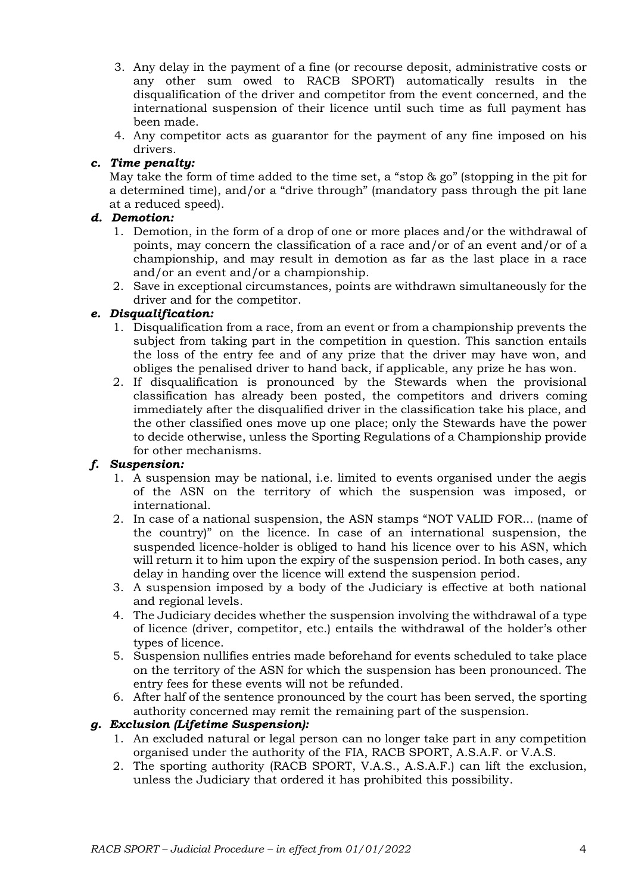- 3. Any delay in the payment of a fine (or recourse deposit, administrative costs or any other sum owed to RACB SPORT) automatically results in the disqualification of the driver and competitor from the event concerned, and the international suspension of their licence until such time as full payment has been made.
- 4. Any competitor acts as guarantor for the payment of any fine imposed on his drivers.

# *c. Time penalty:*

May take the form of time added to the time set, a "stop & go" (stopping in the pit for a determined time), and/or a "drive through" (mandatory pass through the pit lane at a reduced speed).

### *d. Demotion:*

- 1. Demotion, in the form of a drop of one or more places and/or the withdrawal of points, may concern the classification of a race and/or of an event and/or of a championship, and may result in demotion as far as the last place in a race and/or an event and/or a championship.
- 2. Save in exceptional circumstances, points are withdrawn simultaneously for the driver and for the competitor.

## *e. Disqualification:*

- 1. Disqualification from a race, from an event or from a championship prevents the subject from taking part in the competition in question. This sanction entails the loss of the entry fee and of any prize that the driver may have won, and obliges the penalised driver to hand back, if applicable, any prize he has won.
- 2. If disqualification is pronounced by the Stewards when the provisional classification has already been posted, the competitors and drivers coming immediately after the disqualified driver in the classification take his place, and the other classified ones move up one place; only the Stewards have the power to decide otherwise, unless the Sporting Regulations of a Championship provide for other mechanisms.

### *f. Suspension:*

- 1. A suspension may be national, i.e. limited to events organised under the aegis of the ASN on the territory of which the suspension was imposed, or international.
- 2. In case of a national suspension, the ASN stamps "NOT VALID FOR... (name of the country)" on the licence. In case of an international suspension, the suspended licence-holder is obliged to hand his licence over to his ASN, which will return it to him upon the expiry of the suspension period. In both cases, any delay in handing over the licence will extend the suspension period.
- 3. A suspension imposed by a body of the Judiciary is effective at both national and regional levels.
- 4. The Judiciary decides whether the suspension involving the withdrawal of a type of licence (driver, competitor, etc.) entails the withdrawal of the holder's other types of licence.
- 5. Suspension nullifies entries made beforehand for events scheduled to take place on the territory of the ASN for which the suspension has been pronounced. The entry fees for these events will not be refunded.
- 6. After half of the sentence pronounced by the court has been served, the sporting authority concerned may remit the remaining part of the suspension.

### *g. Exclusion (Lifetime Suspension):*

- 1. An excluded natural or legal person can no longer take part in any competition organised under the authority of the FIA, RACB SPORT, A.S.A.F. or V.A.S.
- 2. The sporting authority (RACB SPORT, V.A.S., A.S.A.F.) can lift the exclusion, unless the Judiciary that ordered it has prohibited this possibility.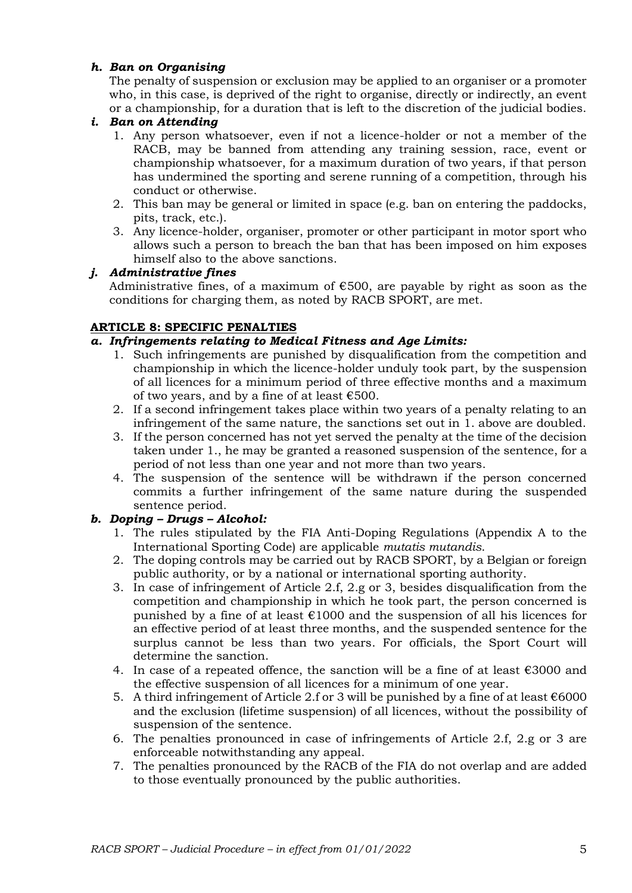## *h. Ban on Organising*

The penalty of suspension or exclusion may be applied to an organiser or a promoter who, in this case, is deprived of the right to organise, directly or indirectly, an event or a championship, for a duration that is left to the discretion of the judicial bodies.

## *i. Ban on Attending*

- 1. Any person whatsoever, even if not a licence-holder or not a member of the RACB, may be banned from attending any training session, race, event or championship whatsoever, for a maximum duration of two years, if that person has undermined the sporting and serene running of a competition, through his conduct or otherwise.
- 2. This ban may be general or limited in space (e.g. ban on entering the paddocks, pits, track, etc.).
- 3. Any licence-holder, organiser, promoter or other participant in motor sport who allows such a person to breach the ban that has been imposed on him exposes himself also to the above sanctions.

## *j. Administrative fines*

Administrative fines, of a maximum of €500, are payable by right as soon as the conditions for charging them, as noted by RACB SPORT, are met.

## **ARTICLE 8: SPECIFIC PENALTIES**

### *a. Infringements relating to Medical Fitness and Age Limits:*

- 1. Such infringements are punished by disqualification from the competition and championship in which the licence-holder unduly took part, by the suspension of all licences for a minimum period of three effective months and a maximum of two years, and by a fine of at least  $€500$ .
- 2. If a second infringement takes place within two years of a penalty relating to an infringement of the same nature, the sanctions set out in 1. above are doubled.
- 3. If the person concerned has not yet served the penalty at the time of the decision taken under 1., he may be granted a reasoned suspension of the sentence, for a period of not less than one year and not more than two years.
- 4. The suspension of the sentence will be withdrawn if the person concerned commits a further infringement of the same nature during the suspended sentence period.

### *b. Doping – Drugs – Alcohol:*

- 1. The rules stipulated by the FIA Anti-Doping Regulations (Appendix A to the International Sporting Code) are applicable *mutatis mutandis*.
- 2. The doping controls may be carried out by RACB SPORT, by a Belgian or foreign public authority, or by a national or international sporting authority.
- 3. In case of infringement of Article 2.f, 2.g or 3, besides disqualification from the competition and championship in which he took part, the person concerned is punished by a fine of at least  $\epsilon$ 1000 and the suspension of all his licences for an effective period of at least three months, and the suspended sentence for the surplus cannot be less than two years. For officials, the Sport Court will determine the sanction.
- 4. In case of a repeated offence, the sanction will be a fine of at least  $\epsilon$ 3000 and the effective suspension of all licences for a minimum of one year.
- 5. A third infringement of Article 2.f or 3 will be punished by a fine of at least  $€6000$ and the exclusion (lifetime suspension) of all licences, without the possibility of suspension of the sentence.
- 6. The penalties pronounced in case of infringements of Article 2.f, 2.g or 3 are enforceable notwithstanding any appeal.
- 7. The penalties pronounced by the RACB of the FIA do not overlap and are added to those eventually pronounced by the public authorities.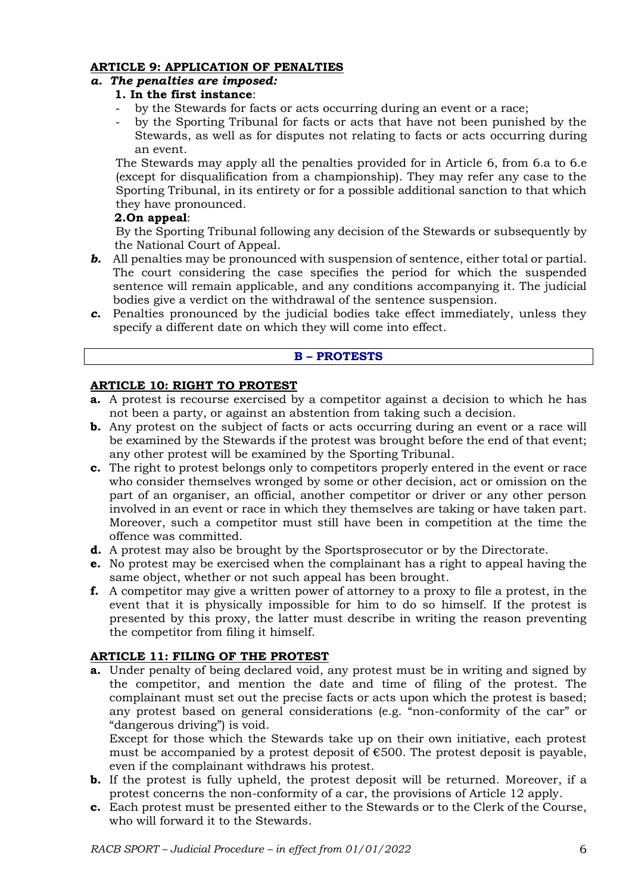## **ARTICLE 9: APPLICATION OF PENALTIES**

# *a. The penalties are imposed:*

# **1. In the first instance**:

- by the Stewards for facts or acts occurring during an event or a race;
- by the Sporting Tribunal for facts or acts that have not been punished by the Stewards, as well as for disputes not relating to facts or acts occurring during an event.

The Stewards may apply all the penalties provided for in Article 6, from 6.a to 6.e (except for disqualification from a championship). They may refer any case to the Sporting Tribunal, in its entirety or for a possible additional sanction to that which they have pronounced.

#### **2.On appeal**:

By the Sporting Tribunal following any decision of the Stewards or subsequently by the National Court of Appeal.

- **b.** All penalties may be pronounced with suspension of sentence, either total or partial. The court considering the case specifies the period for which the suspended sentence will remain applicable, and any conditions accompanying it. The judicial bodies give a verdict on the withdrawal of the sentence suspension.
- *c.* Penalties pronounced by the judicial bodies take effect immediately, unless they specify a different date on which they will come into effect.

#### **B – PROTESTS**

#### **ARTICLE 10: RIGHT TO PROTEST**

- **a.** A protest is recourse exercised by a competitor against a decision to which he has not been a party, or against an abstention from taking such a decision.
- **b.** Any protest on the subject of facts or acts occurring during an event or a race will be examined by the Stewards if the protest was brought before the end of that event; any other protest will be examined by the Sporting Tribunal.
- **c.** The right to protest belongs only to competitors properly entered in the event or race who consider themselves wronged by some or other decision, act or omission on the part of an organiser, an official, another competitor or driver or any other person involved in an event or race in which they themselves are taking or have taken part. Moreover, such a competitor must still have been in competition at the time the offence was committed.
- **d.** A protest may also be brought by the Sportsprosecutor or by the Directorate.
- **e.** No protest may be exercised when the complainant has a right to appeal having the same object, whether or not such appeal has been brought.
- **f.** A competitor may give a written power of attorney to a proxy to file a protest, in the event that it is physically impossible for him to do so himself. If the protest is presented by this proxy, the latter must describe in writing the reason preventing the competitor from filing it himself.

### **ARTICLE 11: FILING OF THE PROTEST**

**a.** Under penalty of being declared void, any protest must be in writing and signed by the competitor, and mention the date and time of filing of the protest. The complainant must set out the precise facts or acts upon which the protest is based; any protest based on general considerations (e.g. "non-conformity of the car" or "dangerous driving") is void.

Except for those which the Stewards take up on their own initiative, each protest must be accompanied by a protest deposit of  $\epsilon$ 500. The protest deposit is payable, even if the complainant withdraws his protest.

- **b.** If the protest is fully upheld, the protest deposit will be returned. Moreover, if a protest concerns the non-conformity of a car, the provisions of Article 12 apply.
- **c.** Each protest must be presented either to the Stewards or to the Clerk of the Course, who will forward it to the Stewards.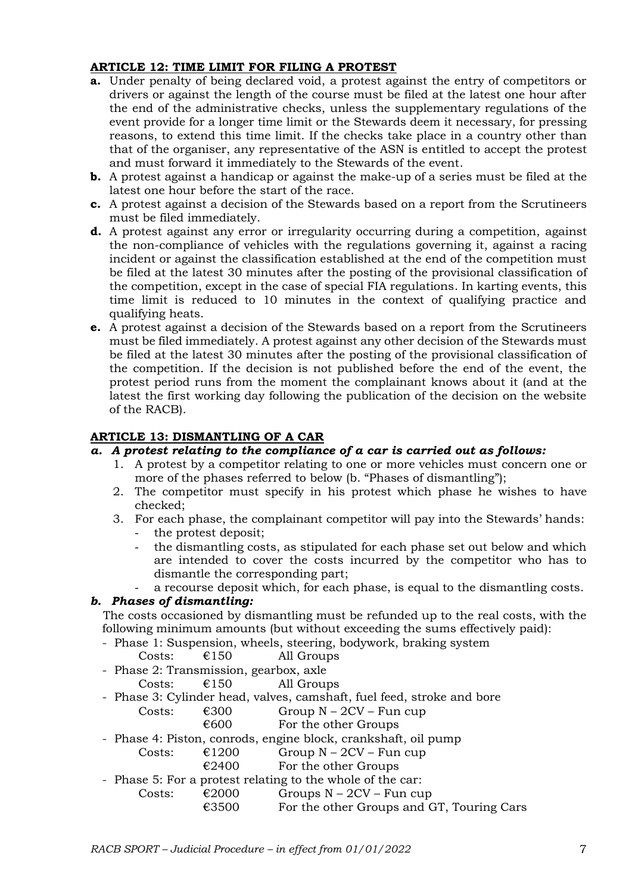## **ARTICLE 12: TIME LIMIT FOR FILING A PROTEST**

- **a.** Under penalty of being declared void, a protest against the entry of competitors or drivers or against the length of the course must be filed at the latest one hour after the end of the administrative checks, unless the supplementary regulations of the event provide for a longer time limit or the Stewards deem it necessary, for pressing reasons, to extend this time limit. If the checks take place in a country other than that of the organiser, any representative of the ASN is entitled to accept the protest and must forward it immediately to the Stewards of the event.
- **b.** A protest against a handicap or against the make-up of a series must be filed at the latest one hour before the start of the race.
- **c.** A protest against a decision of the Stewards based on a report from the Scrutineers must be filed immediately.
- **d.** A protest against any error or irregularity occurring during a competition, against the non-compliance of vehicles with the regulations governing it, against a racing incident or against the classification established at the end of the competition must be filed at the latest 30 minutes after the posting of the provisional classification of the competition, except in the case of special FIA regulations. In karting events, this time limit is reduced to 10 minutes in the context of qualifying practice and qualifying heats.
- **e.** A protest against a decision of the Stewards based on a report from the Scrutineers must be filed immediately. A protest against any other decision of the Stewards must be filed at the latest 30 minutes after the posting of the provisional classification of the competition. If the decision is not published before the end of the event, the protest period runs from the moment the complainant knows about it (and at the latest the first working day following the publication of the decision on the website of the RACB).

## **ARTICLE 13: DISMANTLING OF A CAR**

### *a. A protest relating to the compliance of a car is carried out as follows:*

- 1. A protest by a competitor relating to one or more vehicles must concern one or more of the phases referred to below (b. "Phases of dismantling");
- 2. The competitor must specify in his protest which phase he wishes to have checked;
- 3. For each phase, the complainant competitor will pay into the Stewards' hands: the protest deposit;
	- the dismantling costs, as stipulated for each phase set out below and which are intended to cover the costs incurred by the competitor who has to dismantle the corresponding part;
	- a recourse deposit which, for each phase, is equal to the dismantling costs.

### *b. Phases of dismantling:*

The costs occasioned by dismantling must be refunded up to the real costs, with the following minimum amounts (but without exceeding the sums effectively paid):

- Phase 1: Suspension, wheels, steering, bodywork, braking system

| €150<br>All Groups<br>Costs: |  |
|------------------------------|--|

- Phase 2: Transmission, gearbox, axle
	- Costs:  $\epsilon$ 150 All Groups
- Phase 3: Cylinder head, valves, camshaft, fuel feed, stroke and bore

| Costs: | €300 | Group $N - 2CV - Fun cup$ |
|--------|------|---------------------------|
|--------|------|---------------------------|

- $€600$  For the other Groups
- Phase 4: Piston, conrods, engine block, crankshaft, oil pump
	- Costs:  $\epsilon$ 1200 Group N 2CV Fun cup
		- $\epsilon$ 2400 For the other Groups
- Phase 5: For a protest relating to the whole of the car:
	- Costs:  $\epsilon$ 2000 Groups N 2CV Fun cup
		- €3500 For the other Groups and GT, Touring Cars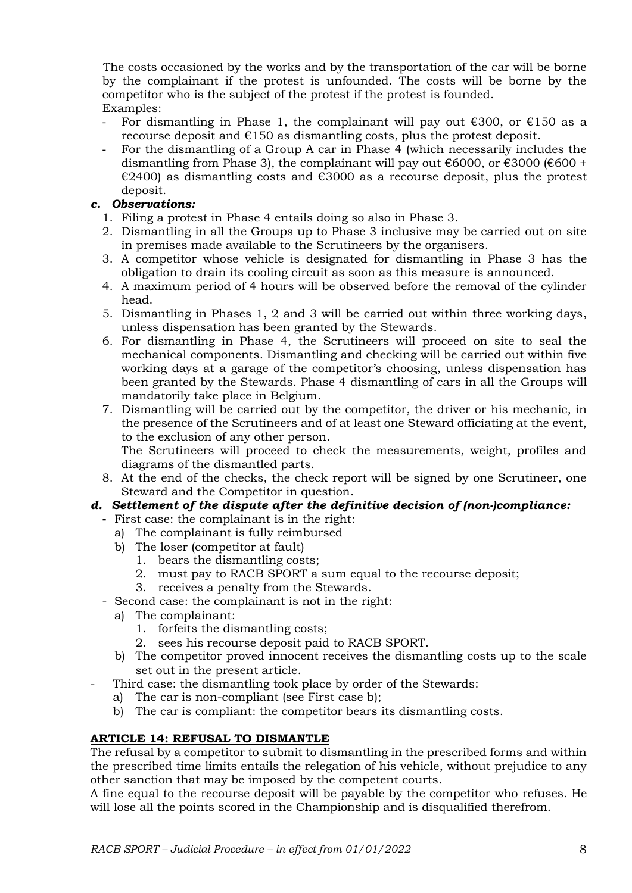The costs occasioned by the works and by the transportation of the car will be borne by the complainant if the protest is unfounded. The costs will be borne by the competitor who is the subject of the protest if the protest is founded. Examples:

- For dismantling in Phase 1, the complainant will pay out  $\epsilon$ 300, or  $\epsilon$ 150 as a recourse deposit and  $E150$  as dismantling costs, plus the protest deposit.
- For the dismantling of a Group A car in Phase 4 (which necessarily includes the dismantling from Phase 3), the complainant will pay out  $\epsilon$ 6000, or  $\epsilon$ 3000 ( $\epsilon$ 600 + €2400) as dismantling costs and €3000 as a recourse deposit, plus the protest deposit.

# *c. Observations:*

- 1. Filing a protest in Phase 4 entails doing so also in Phase 3.
- 2. Dismantling in all the Groups up to Phase 3 inclusive may be carried out on site in premises made available to the Scrutineers by the organisers.
- 3. A competitor whose vehicle is designated for dismantling in Phase 3 has the obligation to drain its cooling circuit as soon as this measure is announced.
- 4. A maximum period of 4 hours will be observed before the removal of the cylinder head.
- 5. Dismantling in Phases 1, 2 and 3 will be carried out within three working days, unless dispensation has been granted by the Stewards.
- 6. For dismantling in Phase 4, the Scrutineers will proceed on site to seal the mechanical components. Dismantling and checking will be carried out within five working days at a garage of the competitor's choosing, unless dispensation has been granted by the Stewards. Phase 4 dismantling of cars in all the Groups will mandatorily take place in Belgium.
- 7. Dismantling will be carried out by the competitor, the driver or his mechanic, in the presence of the Scrutineers and of at least one Steward officiating at the event, to the exclusion of any other person. The Scrutineers will proceed to check the measurements, weight, profiles and diagrams of the dismantled parts.
- 8. At the end of the checks, the check report will be signed by one Scrutineer, one Steward and the Competitor in question.

# *d. Settlement of the dispute after the definitive decision of (non-)compliance:*

- **-** First case: the complainant is in the right:
	- a) The complainant is fully reimbursed
	- b) The loser (competitor at fault)
		- 1. bears the dismantling costs;
		- 2. must pay to RACB SPORT a sum equal to the recourse deposit;
		- 3. receives a penalty from the Stewards.
- Second case: the complainant is not in the right:
	- a) The complainant:
		- 1. forfeits the dismantling costs;
		- 2. sees his recourse deposit paid to RACB SPORT.
	- b) The competitor proved innocent receives the dismantling costs up to the scale set out in the present article.
- Third case: the dismantling took place by order of the Stewards:
	- a) The car is non-compliant (see First case b);
	- b) The car is compliant: the competitor bears its dismantling costs.

# **ARTICLE 14: REFUSAL TO DISMANTLE**

The refusal by a competitor to submit to dismantling in the prescribed forms and within the prescribed time limits entails the relegation of his vehicle, without prejudice to any other sanction that may be imposed by the competent courts.

A fine equal to the recourse deposit will be payable by the competitor who refuses. He will lose all the points scored in the Championship and is disqualified therefrom.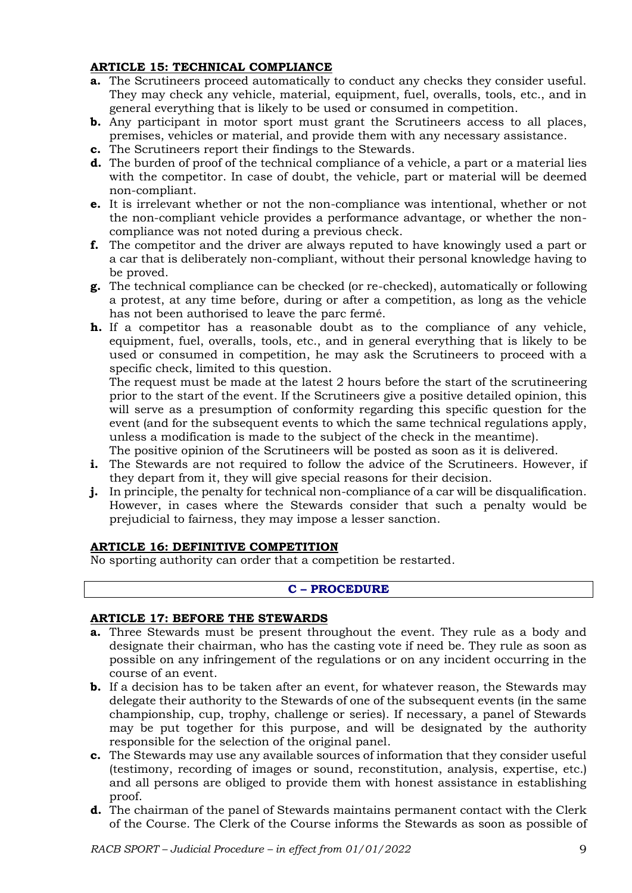## **ARTICLE 15: TECHNICAL COMPLIANCE**

- **a.** The Scrutineers proceed automatically to conduct any checks they consider useful. They may check any vehicle, material, equipment, fuel, overalls, tools, etc., and in general everything that is likely to be used or consumed in competition.
- **b.** Any participant in motor sport must grant the Scrutineers access to all places, premises, vehicles or material, and provide them with any necessary assistance.
- **c.** The Scrutineers report their findings to the Stewards.
- **d.** The burden of proof of the technical compliance of a vehicle, a part or a material lies with the competitor. In case of doubt, the vehicle, part or material will be deemed non-compliant.
- **e.** It is irrelevant whether or not the non-compliance was intentional, whether or not the non-compliant vehicle provides a performance advantage, or whether the noncompliance was not noted during a previous check.
- **f.** The competitor and the driver are always reputed to have knowingly used a part or a car that is deliberately non-compliant, without their personal knowledge having to be proved.
- **g.** The technical compliance can be checked (or re-checked), automatically or following a protest, at any time before, during or after a competition, as long as the vehicle has not been authorised to leave the parc fermé.
- **h.** If a competitor has a reasonable doubt as to the compliance of any vehicle, equipment, fuel, overalls, tools, etc., and in general everything that is likely to be used or consumed in competition, he may ask the Scrutineers to proceed with a specific check, limited to this question.

The request must be made at the latest 2 hours before the start of the scrutineering prior to the start of the event. If the Scrutineers give a positive detailed opinion, this will serve as a presumption of conformity regarding this specific question for the event (and for the subsequent events to which the same technical regulations apply, unless a modification is made to the subject of the check in the meantime).

The positive opinion of the Scrutineers will be posted as soon as it is delivered.

- **i.** The Stewards are not required to follow the advice of the Scrutineers. However, if they depart from it, they will give special reasons for their decision.
- **j.** In principle, the penalty for technical non-compliance of a car will be disqualification. However, in cases where the Stewards consider that such a penalty would be prejudicial to fairness, they may impose a lesser sanction.

### **ARTICLE 16: DEFINITIVE COMPETITION**

No sporting authority can order that a competition be restarted.

### **C – PROCEDURE**

### **ARTICLE 17: BEFORE THE STEWARDS**

- **a.** Three Stewards must be present throughout the event. They rule as a body and designate their chairman, who has the casting vote if need be. They rule as soon as possible on any infringement of the regulations or on any incident occurring in the course of an event.
- **b.** If a decision has to be taken after an event, for whatever reason, the Stewards may delegate their authority to the Stewards of one of the subsequent events (in the same championship, cup, trophy, challenge or series). If necessary, a panel of Stewards may be put together for this purpose, and will be designated by the authority responsible for the selection of the original panel.
- **c.** The Stewards may use any available sources of information that they consider useful (testimony, recording of images or sound, reconstitution, analysis, expertise, etc.) and all persons are obliged to provide them with honest assistance in establishing proof.
- **d.** The chairman of the panel of Stewards maintains permanent contact with the Clerk of the Course. The Clerk of the Course informs the Stewards as soon as possible of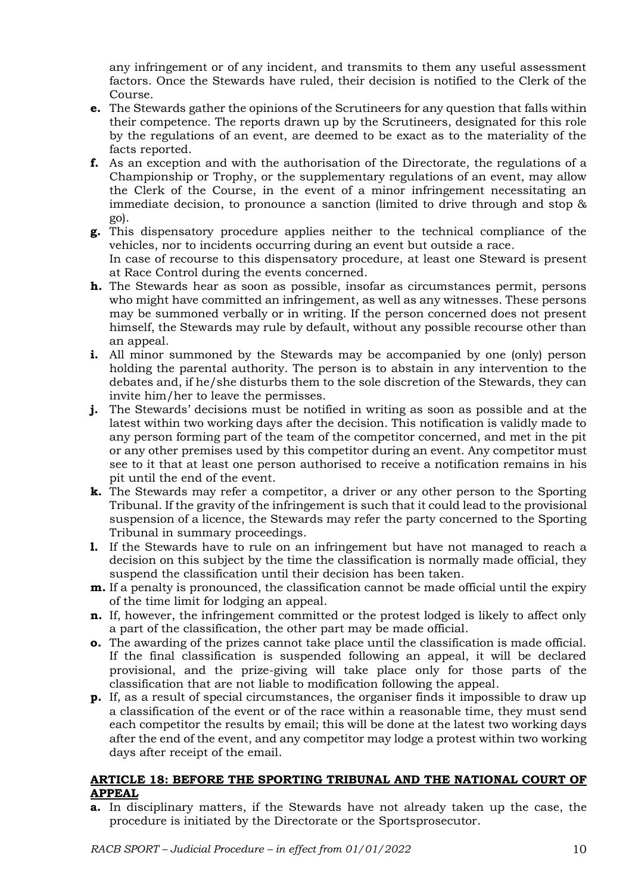any infringement or of any incident, and transmits to them any useful assessment factors. Once the Stewards have ruled, their decision is notified to the Clerk of the Course.

- **e.** The Stewards gather the opinions of the Scrutineers for any question that falls within their competence. The reports drawn up by the Scrutineers, designated for this role by the regulations of an event, are deemed to be exact as to the materiality of the facts reported.
- **f.** As an exception and with the authorisation of the Directorate, the regulations of a Championship or Trophy, or the supplementary regulations of an event, may allow the Clerk of the Course, in the event of a minor infringement necessitating an immediate decision, to pronounce a sanction (limited to drive through and stop & go).
- **g.** This dispensatory procedure applies neither to the technical compliance of the vehicles, nor to incidents occurring during an event but outside a race. In case of recourse to this dispensatory procedure, at least one Steward is present at Race Control during the events concerned.
- **h.** The Stewards hear as soon as possible, insofar as circumstances permit, persons who might have committed an infringement, as well as any witnesses. These persons may be summoned verbally or in writing. If the person concerned does not present himself, the Stewards may rule by default, without any possible recourse other than an appeal.
- **i.** All minor summoned by the Stewards may be accompanied by one (only) person holding the parental authority. The person is to abstain in any intervention to the debates and, if he/she disturbs them to the sole discretion of the Stewards, they can invite him/her to leave the permisses.
- **j.** The Stewards' decisions must be notified in writing as soon as possible and at the latest within two working days after the decision. This notification is validly made to any person forming part of the team of the competitor concerned, and met in the pit or any other premises used by this competitor during an event. Any competitor must see to it that at least one person authorised to receive a notification remains in his pit until the end of the event.
- **k.** The Stewards may refer a competitor, a driver or any other person to the Sporting Tribunal. If the gravity of the infringement is such that it could lead to the provisional suspension of a licence, the Stewards may refer the party concerned to the Sporting Tribunal in summary proceedings.
- **l.** If the Stewards have to rule on an infringement but have not managed to reach a decision on this subject by the time the classification is normally made official, they suspend the classification until their decision has been taken.
- **m.** If a penalty is pronounced, the classification cannot be made official until the expiry of the time limit for lodging an appeal.
- **n.** If, however, the infringement committed or the protest lodged is likely to affect only a part of the classification, the other part may be made official.
- **o.** The awarding of the prizes cannot take place until the classification is made official. If the final classification is suspended following an appeal, it will be declared provisional, and the prize-giving will take place only for those parts of the classification that are not liable to modification following the appeal.
- **p.** If, as a result of special circumstances, the organiser finds it impossible to draw up a classification of the event or of the race within a reasonable time, they must send each competitor the results by email; this will be done at the latest two working days after the end of the event, and any competitor may lodge a protest within two working days after receipt of the email.

### **ARTICLE 18: BEFORE THE SPORTING TRIBUNAL AND THE NATIONAL COURT OF APPEAL**

**a.** In disciplinary matters, if the Stewards have not already taken up the case, the procedure is initiated by the Directorate or the Sportsprosecutor.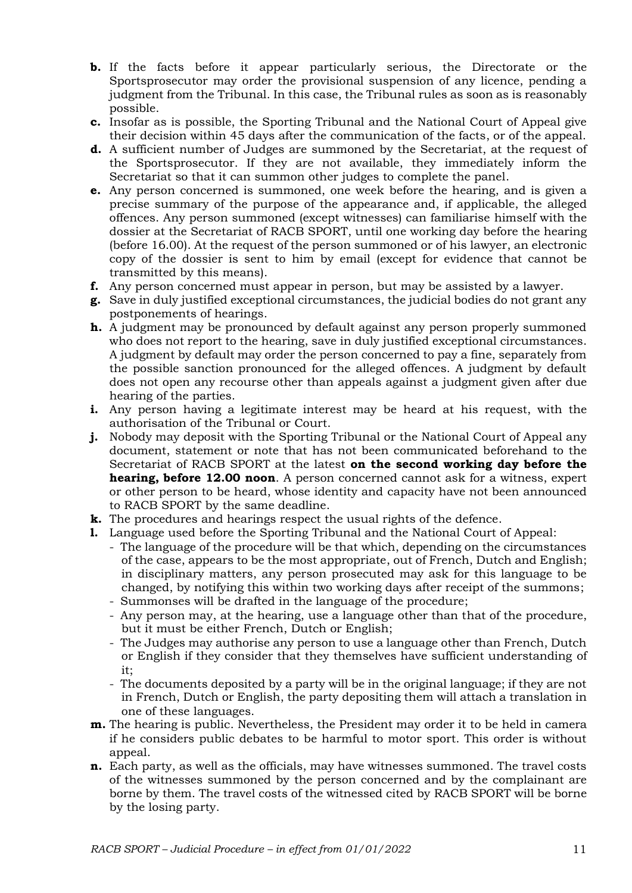- **b.** If the facts before it appear particularly serious, the Directorate or the Sportsprosecutor may order the provisional suspension of any licence, pending a judgment from the Tribunal. In this case, the Tribunal rules as soon as is reasonably possible.
- **c.** Insofar as is possible, the Sporting Tribunal and the National Court of Appeal give their decision within 45 days after the communication of the facts, or of the appeal.
- **d.** A sufficient number of Judges are summoned by the Secretariat, at the request of the Sportsprosecutor. If they are not available, they immediately inform the Secretariat so that it can summon other judges to complete the panel.
- **e.** Any person concerned is summoned, one week before the hearing, and is given a precise summary of the purpose of the appearance and, if applicable, the alleged offences. Any person summoned (except witnesses) can familiarise himself with the dossier at the Secretariat of RACB SPORT, until one working day before the hearing (before 16.00). At the request of the person summoned or of his lawyer, an electronic copy of the dossier is sent to him by email (except for evidence that cannot be transmitted by this means).
- **f.** Any person concerned must appear in person, but may be assisted by a lawyer.
- **g.** Save in duly justified exceptional circumstances, the judicial bodies do not grant any postponements of hearings.
- **h.** A judgment may be pronounced by default against any person properly summoned who does not report to the hearing, save in duly justified exceptional circumstances. A judgment by default may order the person concerned to pay a fine, separately from the possible sanction pronounced for the alleged offences. A judgment by default does not open any recourse other than appeals against a judgment given after due hearing of the parties.
- **i.** Any person having a legitimate interest may be heard at his request, with the authorisation of the Tribunal or Court.
- **j.** Nobody may deposit with the Sporting Tribunal or the National Court of Appeal any document, statement or note that has not been communicated beforehand to the Secretariat of RACB SPORT at the latest **on the second working day before the hearing, before 12.00 noon**. A person concerned cannot ask for a witness, expert or other person to be heard, whose identity and capacity have not been announced to RACB SPORT by the same deadline.
- **k.** The procedures and hearings respect the usual rights of the defence.
- **l.** Language used before the Sporting Tribunal and the National Court of Appeal:
	- The language of the procedure will be that which, depending on the circumstances of the case, appears to be the most appropriate, out of French, Dutch and English; in disciplinary matters, any person prosecuted may ask for this language to be changed, by notifying this within two working days after receipt of the summons; - Summonses will be drafted in the language of the procedure;
	- Any person may, at the hearing, use a language other than that of the procedure,
		- but it must be either French, Dutch or English;
	- The Judges may authorise any person to use a language other than French, Dutch or English if they consider that they themselves have sufficient understanding of it;
	- The documents deposited by a party will be in the original language; if they are not in French, Dutch or English, the party depositing them will attach a translation in one of these languages.
- **m.** The hearing is public. Nevertheless, the President may order it to be held in camera if he considers public debates to be harmful to motor sport. This order is without appeal.
- **n.** Each party, as well as the officials, may have witnesses summoned. The travel costs of the witnesses summoned by the person concerned and by the complainant are borne by them. The travel costs of the witnessed cited by RACB SPORT will be borne by the losing party.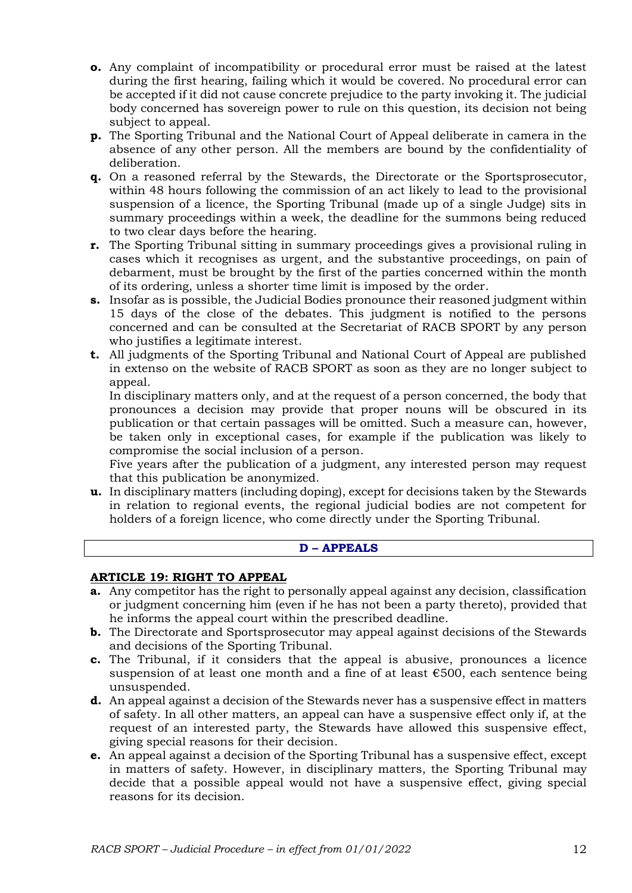- **o.** Any complaint of incompatibility or procedural error must be raised at the latest during the first hearing, failing which it would be covered. No procedural error can be accepted if it did not cause concrete prejudice to the party invoking it. The judicial body concerned has sovereign power to rule on this question, its decision not being subject to appeal.
- **p.** The Sporting Tribunal and the National Court of Appeal deliberate in camera in the absence of any other person. All the members are bound by the confidentiality of deliberation.
- **q.** On a reasoned referral by the Stewards, the Directorate or the Sportsprosecutor, within 48 hours following the commission of an act likely to lead to the provisional suspension of a licence, the Sporting Tribunal (made up of a single Judge) sits in summary proceedings within a week, the deadline for the summons being reduced to two clear days before the hearing.
- **r.** The Sporting Tribunal sitting in summary proceedings gives a provisional ruling in cases which it recognises as urgent, and the substantive proceedings, on pain of debarment, must be brought by the first of the parties concerned within the month of its ordering, unless a shorter time limit is imposed by the order.
- **s.** Insofar as is possible, the Judicial Bodies pronounce their reasoned judgment within 15 days of the close of the debates. This judgment is notified to the persons concerned and can be consulted at the Secretariat of RACB SPORT by any person who justifies a legitimate interest.
- **t.** All judgments of the Sporting Tribunal and National Court of Appeal are published in extenso on the website of RACB SPORT as soon as they are no longer subject to appeal.

In disciplinary matters only, and at the request of a person concerned, the body that pronounces a decision may provide that proper nouns will be obscured in its publication or that certain passages will be omitted. Such a measure can, however, be taken only in exceptional cases, for example if the publication was likely to compromise the social inclusion of a person.

Five years after the publication of a judgment, any interested person may request that this publication be anonymized.

**u.** In disciplinary matters (including doping), except for decisions taken by the Stewards in relation to regional events, the regional judicial bodies are not competent for holders of a foreign licence, who come directly under the Sporting Tribunal.

### **D – APPEALS**

### **ARTICLE 19: RIGHT TO APPEAL**

- **a.** Any competitor has the right to personally appeal against any decision, classification or judgment concerning him (even if he has not been a party thereto), provided that he informs the appeal court within the prescribed deadline.
- **b.** The Directorate and Sportsprosecutor may appeal against decisions of the Stewards and decisions of the Sporting Tribunal.
- **c.** The Tribunal, if it considers that the appeal is abusive, pronounces a licence suspension of at least one month and a fine of at least €500, each sentence being unsuspended.
- **d.** An appeal against a decision of the Stewards never has a suspensive effect in matters of safety. In all other matters, an appeal can have a suspensive effect only if, at the request of an interested party, the Stewards have allowed this suspensive effect, giving special reasons for their decision.
- **e.** An appeal against a decision of the Sporting Tribunal has a suspensive effect, except in matters of safety. However, in disciplinary matters, the Sporting Tribunal may decide that a possible appeal would not have a suspensive effect, giving special reasons for its decision.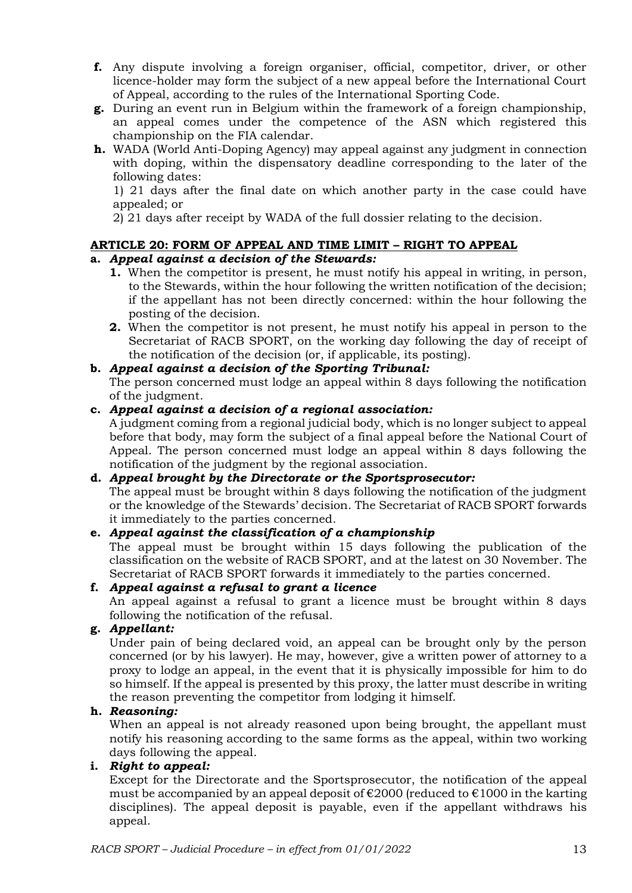- **f.** Any dispute involving a foreign organiser, official, competitor, driver, or other licence-holder may form the subject of a new appeal before the International Court of Appeal, according to the rules of the International Sporting Code.
- **g.** During an event run in Belgium within the framework of a foreign championship, an appeal comes under the competence of the ASN which registered this championship on the FIA calendar.
- **h.** WADA (World Anti-Doping Agency) may appeal against any judgment in connection with doping, within the dispensatory deadline corresponding to the later of the following dates:

1) 21 days after the final date on which another party in the case could have appealed; or

2) 21 days after receipt by WADA of the full dossier relating to the decision.

## **ARTICLE 20: FORM OF APPEAL AND TIME LIMIT – RIGHT TO APPEAL**

## **a.** *Appeal against a decision of the Stewards:*

- **1.** When the competitor is present, he must notify his appeal in writing, in person, to the Stewards, within the hour following the written notification of the decision; if the appellant has not been directly concerned: within the hour following the posting of the decision.
- **2.** When the competitor is not present, he must notify his appeal in person to the Secretariat of RACB SPORT, on the working day following the day of receipt of the notification of the decision (or, if applicable, its posting).

## **b.** *Appeal against a decision of the Sporting Tribunal:*

The person concerned must lodge an appeal within 8 days following the notification of the judgment.

#### **c.** *Appeal against a decision of a regional association:*

A judgment coming from a regional judicial body, which is no longer subject to appeal before that body, may form the subject of a final appeal before the National Court of Appeal. The person concerned must lodge an appeal within 8 days following the notification of the judgment by the regional association.

### **d.** *Appeal brought by the Directorate or the Sportsprosecutor:*

The appeal must be brought within 8 days following the notification of the judgment or the knowledge of the Stewards' decision. The Secretariat of RACB SPORT forwards it immediately to the parties concerned.

### **e.** *Appeal against the classification of a championship*

The appeal must be brought within 15 days following the publication of the classification on the website of RACB SPORT, and at the latest on 30 November. The Secretariat of RACB SPORT forwards it immediately to the parties concerned.

### **f.** *Appeal against a refusal to grant a licence*

An appeal against a refusal to grant a licence must be brought within 8 days following the notification of the refusal.

### **g.** *Appellant:*

Under pain of being declared void, an appeal can be brought only by the person concerned (or by his lawyer). He may, however, give a written power of attorney to a proxy to lodge an appeal, in the event that it is physically impossible for him to do so himself. If the appeal is presented by this proxy, the latter must describe in writing the reason preventing the competitor from lodging it himself.

### **h.** *Reasoning:*

When an appeal is not already reasoned upon being brought, the appellant must notify his reasoning according to the same forms as the appeal, within two working days following the appeal.

### **i.** *Right to appeal:*

Except for the Directorate and the Sportsprosecutor, the notification of the appeal must be accompanied by an appeal deposit of  $\epsilon$ 2000 (reduced to  $\epsilon$ 1000 in the karting disciplines). The appeal deposit is payable, even if the appellant withdraws his appeal.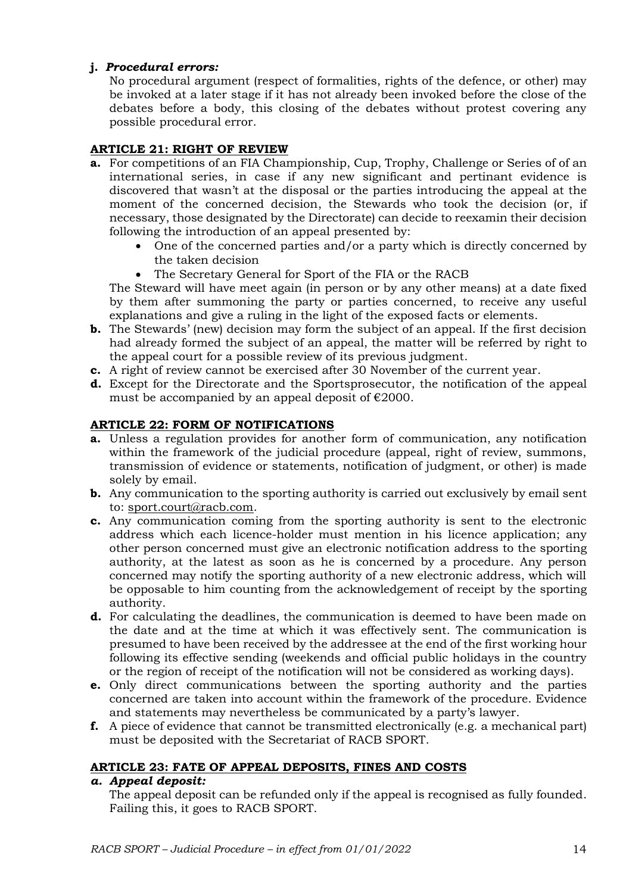## **j.** *Procedural errors:*

No procedural argument (respect of formalities, rights of the defence, or other) may be invoked at a later stage if it has not already been invoked before the close of the debates before a body, this closing of the debates without protest covering any possible procedural error.

# **ARTICLE 21: RIGHT OF REVIEW**

- **a.** For competitions of an FIA Championship, Cup, Trophy, Challenge or Series of of an international series, in case if any new significant and pertinant evidence is discovered that wasn't at the disposal or the parties introducing the appeal at the moment of the concerned decision, the Stewards who took the decision (or, if necessary, those designated by the Directorate) can decide to reexamin their decision following the introduction of an appeal presented by:
	- One of the concerned parties and/or a party which is directly concerned by the taken decision
	- The Secretary General for Sport of the FIA or the RACB

The Steward will have meet again (in person or by any other means) at a date fixed by them after summoning the party or parties concerned, to receive any useful explanations and give a ruling in the light of the exposed facts or elements.

- **b.** The Stewards' (new) decision may form the subject of an appeal. If the first decision had already formed the subject of an appeal, the matter will be referred by right to the appeal court for a possible review of its previous judgment.
- **c.** A right of review cannot be exercised after 30 November of the current year.
- **d.** Except for the Directorate and the Sportsprosecutor, the notification of the appeal must be accompanied by an appeal deposit of  $\epsilon$ 2000.

## **ARTICLE 22: FORM OF NOTIFICATIONS**

- **a.** Unless a regulation provides for another form of communication, any notification within the framework of the judicial procedure (appeal, right of review, summons, transmission of evidence or statements, notification of judgment, or other) is made solely by email.
- **b.** Any communication to the sporting authority is carried out exclusively by email sent to: sport.court@racb.com.
- **c.** Any communication coming from the sporting authority is sent to the electronic address which each licence-holder must mention in his licence application; any other person concerned must give an electronic notification address to the sporting authority, at the latest as soon as he is concerned by a procedure. Any person concerned may notify the sporting authority of a new electronic address, which will be opposable to him counting from the acknowledgement of receipt by the sporting authority.
- **d.** For calculating the deadlines, the communication is deemed to have been made on the date and at the time at which it was effectively sent. The communication is presumed to have been received by the addressee at the end of the first working hour following its effective sending (weekends and official public holidays in the country or the region of receipt of the notification will not be considered as working days).
- **e.** Only direct communications between the sporting authority and the parties concerned are taken into account within the framework of the procedure. Evidence and statements may nevertheless be communicated by a party's lawyer.
- **f.** A piece of evidence that cannot be transmitted electronically (e.g. a mechanical part) must be deposited with the Secretariat of RACB SPORT.

### **ARTICLE 23: FATE OF APPEAL DEPOSITS, FINES AND COSTS**

### *a. Appeal deposit:*

The appeal deposit can be refunded only if the appeal is recognised as fully founded. Failing this, it goes to RACB SPORT.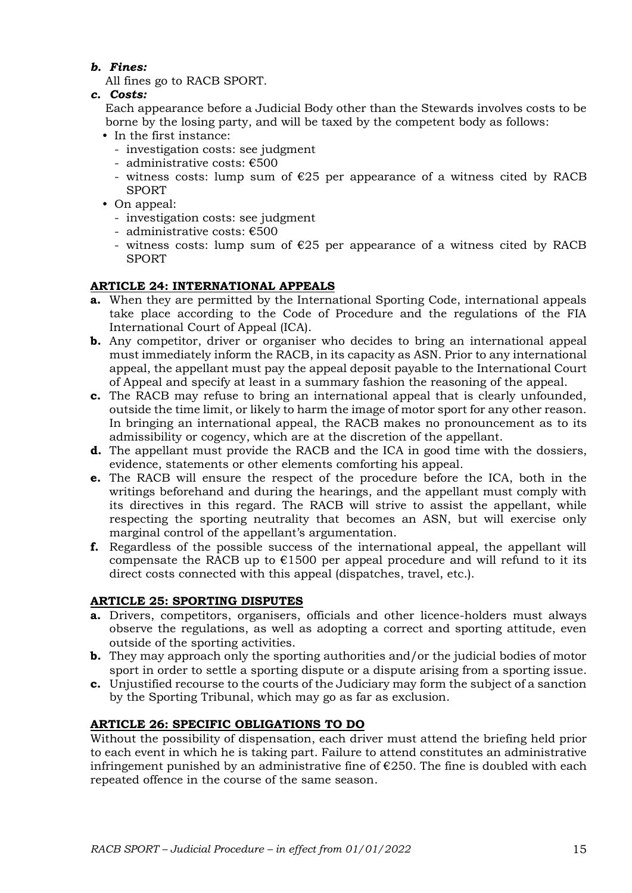## *b. Fines:*

All fines go to RACB SPORT.

*c. Costs:*

Each appearance before a Judicial Body other than the Stewards involves costs to be borne by the losing party, and will be taxed by the competent body as follows:

- In the first instance:
	- investigation costs: see judgment
	- administrative costs: €500
	- witness costs: lump sum of  $\epsilon$ 25 per appearance of a witness cited by RACB SPORT
- On appeal:
	- investigation costs: see judgment
	- administrative costs: €500
	- witness costs: lump sum of  $\epsilon$ 25 per appearance of a witness cited by RACB SPORT

# **ARTICLE 24: INTERNATIONAL APPEALS**

- **a.** When they are permitted by the International Sporting Code, international appeals take place according to the Code of Procedure and the regulations of the FIA International Court of Appeal (ICA).
- **b.** Any competitor, driver or organiser who decides to bring an international appeal must immediately inform the RACB, in its capacity as ASN. Prior to any international appeal, the appellant must pay the appeal deposit payable to the International Court of Appeal and specify at least in a summary fashion the reasoning of the appeal.
- **c.** The RACB may refuse to bring an international appeal that is clearly unfounded, outside the time limit, or likely to harm the image of motor sport for any other reason. In bringing an international appeal, the RACB makes no pronouncement as to its admissibility or cogency, which are at the discretion of the appellant.
- **d.** The appellant must provide the RACB and the ICA in good time with the dossiers, evidence, statements or other elements comforting his appeal.
- **e.** The RACB will ensure the respect of the procedure before the ICA, both in the writings beforehand and during the hearings, and the appellant must comply with its directives in this regard. The RACB will strive to assist the appellant, while respecting the sporting neutrality that becomes an ASN, but will exercise only marginal control of the appellant's argumentation.
- **f.** Regardless of the possible success of the international appeal, the appellant will compensate the RACB up to  $E1500$  per appeal procedure and will refund to it its direct costs connected with this appeal (dispatches, travel, etc.).

# **ARTICLE 25: SPORTING DISPUTES**

- **a.** Drivers, competitors, organisers, officials and other licence-holders must always observe the regulations, as well as adopting a correct and sporting attitude, even outside of the sporting activities.
- **b.** They may approach only the sporting authorities and/or the judicial bodies of motor sport in order to settle a sporting dispute or a dispute arising from a sporting issue.
- **c.** Unjustified recourse to the courts of the Judiciary may form the subject of a sanction by the Sporting Tribunal, which may go as far as exclusion.

# **ARTICLE 26: SPECIFIC OBLIGATIONS TO DO**

Without the possibility of dispensation, each driver must attend the briefing held prior to each event in which he is taking part. Failure to attend constitutes an administrative infringement punished by an administrative fine of  $E$ 250. The fine is doubled with each repeated offence in the course of the same season.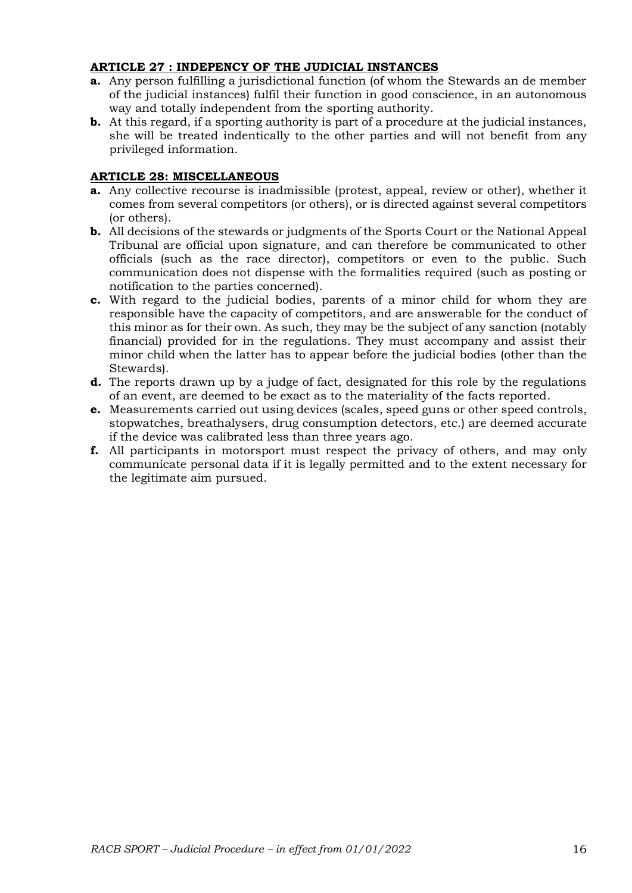### **ARTICLE 27 : INDEPENCY OF THE JUDICIAL INSTANCES**

- **a.** Any person fulfilling a jurisdictional function (of whom the Stewards an de member of the judicial instances) fulfil their function in good conscience, in an autonomous way and totally independent from the sporting authority.
- **b.** At this regard, if a sporting authority is part of a procedure at the judicial instances, she will be treated indentically to the other parties and will not benefit from any privileged information.

## **ARTICLE 28: MISCELLANEOUS**

- **a.** Any collective recourse is inadmissible (protest, appeal, review or other), whether it comes from several competitors (or others), or is directed against several competitors (or others).
- **b.** All decisions of the stewards or judgments of the Sports Court or the National Appeal Tribunal are official upon signature, and can therefore be communicated to other officials (such as the race director), competitors or even to the public. Such communication does not dispense with the formalities required (such as posting or notification to the parties concerned).
- **c.** With regard to the judicial bodies, parents of a minor child for whom they are responsible have the capacity of competitors, and are answerable for the conduct of this minor as for their own. As such, they may be the subject of any sanction (notably financial) provided for in the regulations. They must accompany and assist their minor child when the latter has to appear before the judicial bodies (other than the Stewards).
- **d.** The reports drawn up by a judge of fact, designated for this role by the regulations of an event, are deemed to be exact as to the materiality of the facts reported.
- **e.** Measurements carried out using devices (scales, speed guns or other speed controls, stopwatches, breathalysers, drug consumption detectors, etc.) are deemed accurate if the device was calibrated less than three years ago.
- **f.** All participants in motorsport must respect the privacy of others, and may only communicate personal data if it is legally permitted and to the extent necessary for the legitimate aim pursued.